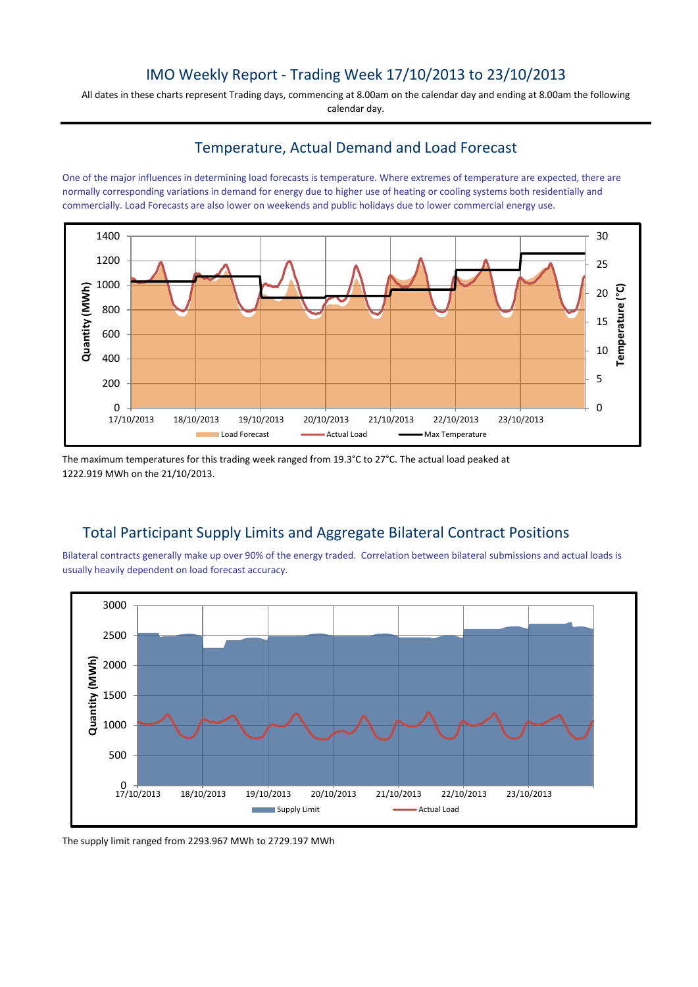# IMO Weekly Report - Trading Week 17/10/2013 to 23/10/2013

All dates in these charts represent Trading days, commencing at 8.00am on the calendar day and ending at 8.00am the following calendar day.

### Temperature, Actual Demand and Load Forecast

One of the major influences in determining load forecasts is temperature. Where extremes of temperature are expected, there are normally corresponding variations in demand for energy due to higher use of heating or cooling systems both residentially and commercially. Load Forecasts are also lower on weekends and public holidays due to lower commercial energy use.



The maximum temperatures for this trading week ranged from 19.3°C to 27°C. The actual load peaked at 1222.919 MWh on the 21/10/2013.

### Total Participant Supply Limits and Aggregate Bilateral Contract Positions

Bilateral contracts generally make up over 90% of the energy traded. Correlation between bilateral submissions and actual loads is usually heavily dependent on load forecast accuracy.



The supply limit ranged from 2293.967 MWh to 2729.197 MWh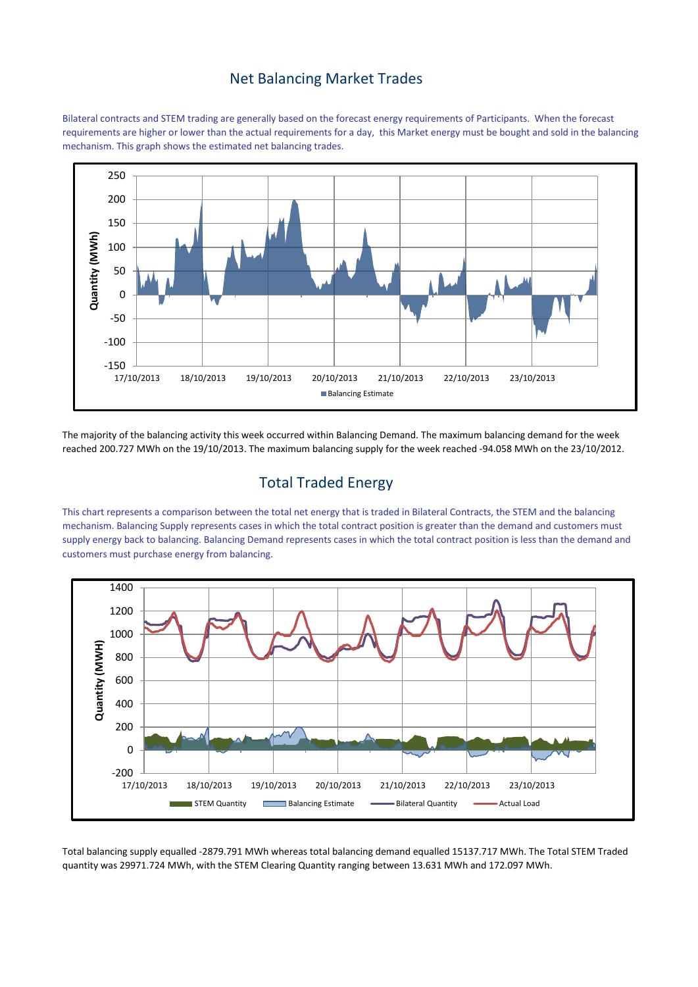#### Net Balancing Market Trades

Bilateral contracts and STEM trading are generally based on the forecast energy requirements of Participants. When the forecast requirements are higher or lower than the actual requirements for a day, this Market energy must be bought and sold in the balancing mechanism. This graph shows the estimated net balancing trades.



The majority of the balancing activity this week occurred within Balancing Demand. The maximum balancing demand for the week reached 200.727 MWh on the 19/10/2013. The maximum balancing supply for the week reached -94.058 MWh on the 23/10/2012.

### Total Traded Energy

This chart represents a comparison between the total net energy that is traded in Bilateral Contracts, the STEM and the balancing mechanism. Balancing Supply represents cases in which the total contract position is greater than the demand and customers must supply energy back to balancing. Balancing Demand represents cases in which the total contract position is less than the demand and customers must purchase energy from balancing.



Total balancing supply equalled -2879.791 MWh whereas total balancing demand equalled 15137.717 MWh. The Total STEM Traded quantity was 29971.724 MWh, with the STEM Clearing Quantity ranging between 13.631 MWh and 172.097 MWh.